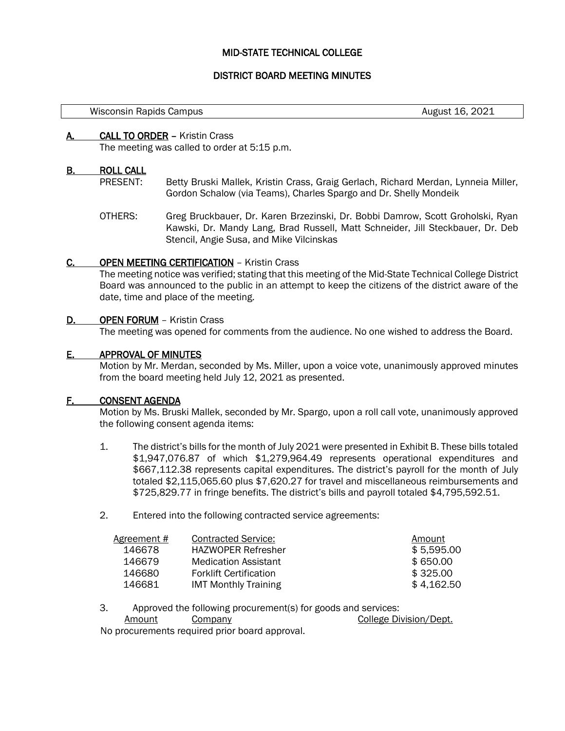## MID-STATE TECHNICAL COLLEGE

### DISTRICT BOARD MEETING MINUTES

Wisconsin Rapids Campus **August 16, 2021** Misconsin Rapids Campus August 16, 2021

### A. CALL TO ORDER – Kristin Crass

The meeting was called to order at 5:15 p.m.

#### B. ROLL CALL

- PRESENT: Betty Bruski Mallek, Kristin Crass, Graig Gerlach, Richard Merdan, Lynneia Miller, Gordon Schalow (via Teams), Charles Spargo and Dr. Shelly Mondeik
- OTHERS: Greg Bruckbauer, Dr. Karen Brzezinski, Dr. Bobbi Damrow, Scott Groholski, Ryan Kawski, Dr. Mandy Lang, Brad Russell, Matt Schneider, Jill Steckbauer, Dr. Deb Stencil, Angie Susa, and Mike Vilcinskas

### C. OPEN MEETING CERTIFICATION – Kristin Crass

The meeting notice was verified; stating that this meeting of the Mid-State Technical College District Board was announced to the public in an attempt to keep the citizens of the district aware of the date, time and place of the meeting.

#### D. OPEN FORUM - Kristin Crass

The meeting was opened for comments from the audience. No one wished to address the Board.

#### E. APPROVAL OF MINUTES

Motion by Mr. Merdan, seconded by Ms. Miller, upon a voice vote, unanimously approved minutes from the board meeting held July 12, 2021 as presented.

### F. CONSENT AGENDA

Motion by Ms. Bruski Mallek, seconded by Mr. Spargo, upon a roll call vote, unanimously approved the following consent agenda items:

- 1. The district's bills for the month of July 2021 were presented in Exhibit B. These bills totaled \$1,947,076.87 of which \$1,279,964.49 represents operational expenditures and \$667,112.38 represents capital expenditures. The district's payroll for the month of July totaled \$2,115,065.60 plus \$7,620.27 for travel and miscellaneous reimbursements and \$725,829.77 in fringe benefits. The district's bills and payroll totaled \$4,795,592.51.
- 2. Entered into the following contracted service agreements:

| <b>Contracted Service:</b>    | Amount     |
|-------------------------------|------------|
| <b>HAZWOPER Refresher</b>     | \$5,595.00 |
| <b>Medication Assistant</b>   | \$650.00   |
| <b>Forklift Certification</b> | \$325.00   |
| <b>IMT Monthly Training</b>   | \$4,162.50 |
|                               |            |

3. Approved the following procurement(s) for goods and services:

Amount Company College Division/Dept.

No procurements required prior board approval.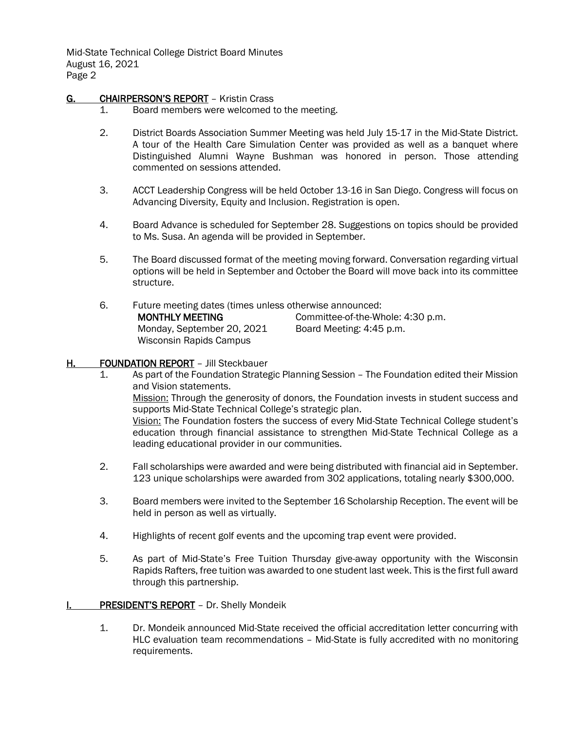Mid-State Technical College District Board Minutes August 16, 2021 Page 2

# G. CHAIRPERSON'S REPORT - Kristin Crass

- 1. Board members were welcomed to the meeting.
- 2. District Boards Association Summer Meeting was held July 15-17 in the Mid-State District. A tour of the Health Care Simulation Center was provided as well as a banquet where Distinguished Alumni Wayne Bushman was honored in person. Those attending commented on sessions attended.
- 3. ACCT Leadership Congress will be held October 13-16 in San Diego. Congress will focus on Advancing Diversity, Equity and Inclusion. Registration is open.
- 4. Board Advance is scheduled for September 28. Suggestions on topics should be provided to Ms. Susa. An agenda will be provided in September.
- 5. The Board discussed format of the meeting moving forward. Conversation regarding virtual options will be held in September and October the Board will move back into its committee structure.
- 6. Future meeting dates (times unless otherwise announced: MONTHLY MEETING Monday, September 20, 2021 Wisconsin Rapids Campus

Committee-of-the-Whole: 4:30 p.m. Board Meeting: 4:45 p.m.

# H. FOUNDATION REPORT – Jill Steckbauer

- 1. As part of the Foundation Strategic Planning Session The Foundation edited their Mission and Vision statements. Mission: Through the generosity of donors, the Foundation invests in student success and supports Mid-State Technical College's strategic plan. Vision: The Foundation fosters the success of every Mid-State Technical College student's education through financial assistance to strengthen Mid-State Technical College as a leading educational provider in our communities.
- 2. Fall scholarships were awarded and were being distributed with financial aid in September. 123 unique scholarships were awarded from 302 applications, totaling nearly \$300,000.
- 3. Board members were invited to the September 16 Scholarship Reception. The event will be held in person as well as virtually.
- 4. Highlights of recent golf events and the upcoming trap event were provided.
- 5. As part of Mid-State's Free Tuition Thursday give-away opportunity with the Wisconsin Rapids Rafters, free tuition was awarded to one student last week. This is the first full award through this partnership.
- I. PRESIDENT'S REPORT Dr. Shelly Mondeik
	- 1. Dr. Mondeik announced Mid-State received the official accreditation letter concurring with HLC evaluation team recommendations – Mid-State is fully accredited with no monitoring requirements.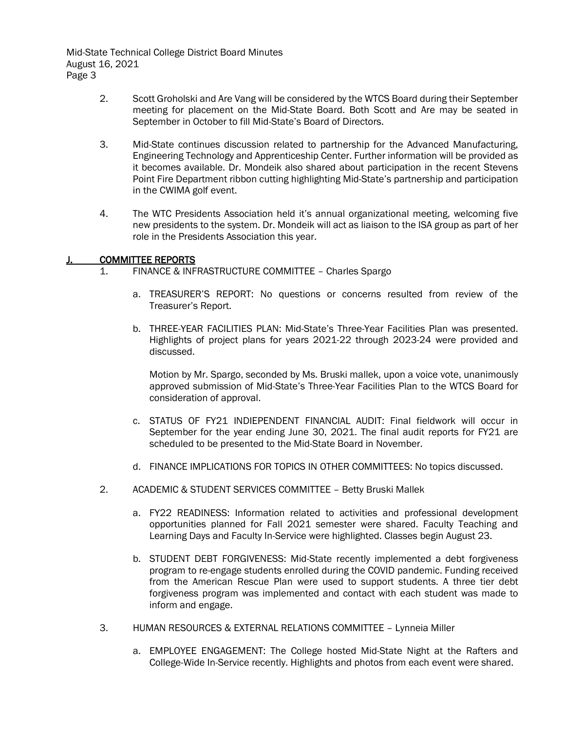Mid-State Technical College District Board Minutes August 16, 2021 Page 3

- 2. Scott Groholski and Are Vang will be considered by the WTCS Board during their September meeting for placement on the Mid-State Board. Both Scott and Are may be seated in September in October to fill Mid-State's Board of Directors.
- 3. Mid-State continues discussion related to partnership for the Advanced Manufacturing, Engineering Technology and Apprenticeship Center. Further information will be provided as it becomes available. Dr. Mondeik also shared about participation in the recent Stevens Point Fire Department ribbon cutting highlighting Mid-State's partnership and participation in the CWIMA golf event.
- 4. The WTC Presidents Association held it's annual organizational meeting, welcoming five new presidents to the system. Dr. Mondeik will act as liaison to the ISA group as part of her role in the Presidents Association this year.

## J. COMMITTEE REPORTS

- 1. FINANCE & INFRASTRUCTURE COMMITTEE Charles Spargo
	- a. TREASURER'S REPORT: No questions or concerns resulted from review of the Treasurer's Report.
	- b. THREE-YEAR FACILITIES PLAN: Mid-State's Three-Year Facilities Plan was presented. Highlights of project plans for years 2021-22 through 2023-24 were provided and discussed.

Motion by Mr. Spargo, seconded by Ms. Bruski mallek, upon a voice vote, unanimously approved submission of Mid-State's Three-Year Facilities Plan to the WTCS Board for consideration of approval.

- c. STATUS OF FY21 INDIEPENDENT FINANCIAL AUDIT: Final fieldwork will occur in September for the year ending June 30, 2021. The final audit reports for FY21 are scheduled to be presented to the Mid-State Board in November.
- d. FINANCE IMPLICATIONS FOR TOPICS IN OTHER COMMITTEES: No topics discussed.
- 2. ACADEMIC & STUDENT SERVICES COMMITTEE Betty Bruski Mallek
	- a. FY22 READINESS: Information related to activities and professional development opportunities planned for Fall 2021 semester were shared. Faculty Teaching and Learning Days and Faculty In-Service were highlighted. Classes begin August 23.
	- b. STUDENT DEBT FORGIVENESS: Mid-State recently implemented a debt forgiveness program to re-engage students enrolled during the COVID pandemic. Funding received from the American Rescue Plan were used to support students. A three tier debt forgiveness program was implemented and contact with each student was made to inform and engage.
- 3. HUMAN RESOURCES & EXTERNAL RELATIONS COMMITTEE Lynneia Miller
	- a. EMPLOYEE ENGAGEMENT: The College hosted Mid-State Night at the Rafters and College-Wide In-Service recently. Highlights and photos from each event were shared.